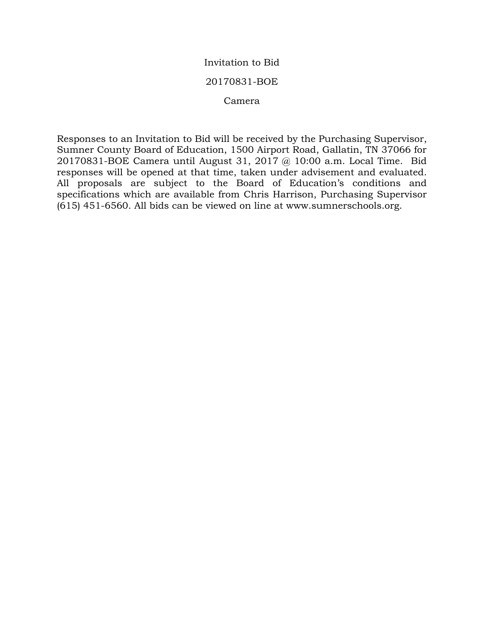# Invitation to Bid

## 20170831-BOE

### Camera

Responses to an Invitation to Bid will be received by the Purchasing Supervisor, Sumner County Board of Education, 1500 Airport Road, Gallatin, TN 37066 for 20170831-BOE Camera until August 31, 2017 @ 10:00 a.m. Local Time. Bid responses will be opened at that time, taken under advisement and evaluated. All proposals are subject to the Board of Education's conditions and specifications which are available from Chris Harrison, Purchasing Supervisor (615) 451-6560. All bids can be viewed on line at www.sumnerschools.org.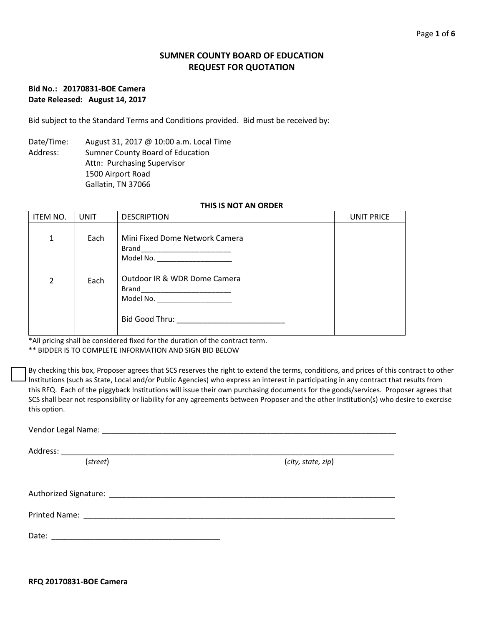## **SUMNER COUNTY BOARD OF EDUCATION REQUEST FOR QUOTATION**

### **Bid No.: 20170831-BOE Camera Date Released: August 14, 2017**

Bid subject to the Standard Terms and Conditions provided. Bid must be received by:

Date/Time: August 31, 2017 @ 10:00 a.m. Local Time Address: Sumner County Board of Education Attn: Purchasing Supervisor 1500 Airport Road Gallatin, TN 37066

### **THIS IS NOT AN ORDER**

| ITEM NO.       | <b>UNIT</b> | <b>DESCRIPTION</b>                                                                                                                                                                                                                                                                              | UNIT PRICE |
|----------------|-------------|-------------------------------------------------------------------------------------------------------------------------------------------------------------------------------------------------------------------------------------------------------------------------------------------------|------------|
| 1              | Each        | Mini Fixed Dome Network Camera<br>Brand ___________________________<br>Model No. ______________________                                                                                                                                                                                         |            |
| $\overline{2}$ | Each        | Outdoor IR & WDR Dome Camera<br>Model No. ___________________<br>Bid Good Thru: The Contract of the Contract of the Contract of the Contract of the Contract of the Contract of the Contract of the Contract of the Contract of the Contract of the Contract of the Contract of the Contract of |            |

\*All pricing shall be considered fixed for the duration of the contract term. \*\* BIDDER IS TO COMPLETE INFORMATION AND SIGN BID BELOW

By checking this box, Proposer agrees that SCS reserves the right to extend the terms, conditions, and prices of this contract to other Institutions (such as State, Local and/or Public Agencies) who express an interest in participating in any contract that results from this RFQ. Each of the piggyback Institutions will issue their own purchasing documents for the goods/services. Proposer agrees that SCS shall bear not responsibility or liability for any agreements between Proposer and the other Institution(s) who desire to exercise this option.

| (street) | (city, state, zip) |
|----------|--------------------|
|          |                    |
|          |                    |
|          |                    |
|          |                    |
|          |                    |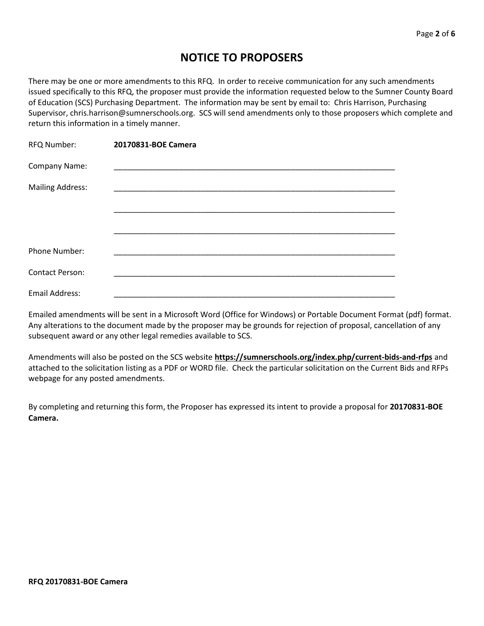# **NOTICE TO PROPOSERS**

There may be one or more amendments to this RFQ. In order to receive communication for any such amendments issued specifically to this RFQ, the proposer must provide the information requested below to the Sumner County Board of Education (SCS) Purchasing Department. The information may be sent by email to: Chris Harrison, Purchasing Supervisor, chris.harrison@sumnerschools.org. SCS will send amendments only to those proposers which complete and return this information in a timely manner.

| RFQ Number:             | 20170831-BOE Camera |  |
|-------------------------|---------------------|--|
| Company Name:           |                     |  |
| <b>Mailing Address:</b> |                     |  |
|                         |                     |  |
|                         |                     |  |
|                         |                     |  |
| Phone Number:           |                     |  |
| <b>Contact Person:</b>  |                     |  |
| <b>Email Address:</b>   |                     |  |

Emailed amendments will be sent in a Microsoft Word (Office for Windows) or Portable Document Format (pdf) format. Any alterations to the document made by the proposer may be grounds for rejection of proposal, cancellation of any subsequent award or any other legal remedies available to SCS.

Amendments will also be posted on the SCS website **https://sumnerschools.org/index.php/current-bids-and-rfps** and attached to the solicitation listing as a PDF or WORD file. Check the particular solicitation on the Current Bids and RFPs webpage for any posted amendments.

By completing and returning this form, the Proposer has expressed its intent to provide a proposal for **20170831-BOE Camera.**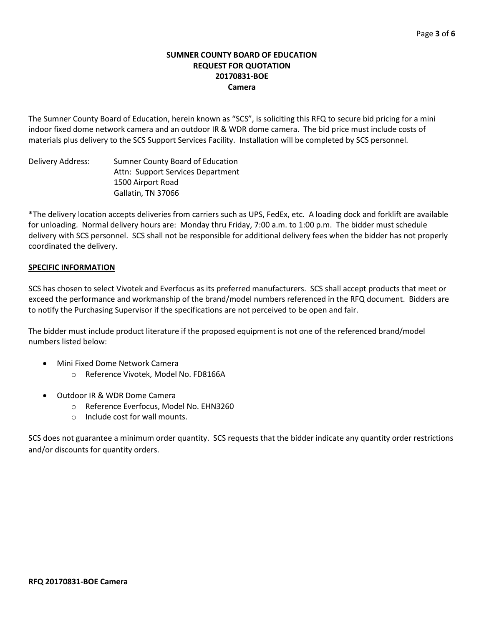## **SUMNER COUNTY BOARD OF EDUCATION REQUEST FOR QUOTATION 20170831-BOE Camera**

The Sumner County Board of Education, herein known as "SCS", is soliciting this RFQ to secure bid pricing for a mini indoor fixed dome network camera and an outdoor IR & WDR dome camera. The bid price must include costs of materials plus delivery to the SCS Support Services Facility. Installation will be completed by SCS personnel.

Delivery Address: Sumner County Board of Education Attn: Support Services Department 1500 Airport Road Gallatin, TN 37066

\*The delivery location accepts deliveries from carriers such as UPS, FedEx, etc. A loading dock and forklift are available for unloading. Normal delivery hours are: Monday thru Friday, 7:00 a.m. to 1:00 p.m. The bidder must schedule delivery with SCS personnel. SCS shall not be responsible for additional delivery fees when the bidder has not properly coordinated the delivery.

## **SPECIFIC INFORMATION**

SCS has chosen to select Vivotek and Everfocus as its preferred manufacturers. SCS shall accept products that meet or exceed the performance and workmanship of the brand/model numbers referenced in the RFQ document. Bidders are to notify the Purchasing Supervisor if the specifications are not perceived to be open and fair.

The bidder must include product literature if the proposed equipment is not one of the referenced brand/model numbers listed below:

- Mini Fixed Dome Network Camera
	- o Reference Vivotek, Model No. FD8166A
- Outdoor IR & WDR Dome Camera
	- o Reference Everfocus, Model No. EHN3260
	- o Include cost for wall mounts.

SCS does not guarantee a minimum order quantity. SCS requests that the bidder indicate any quantity order restrictions and/or discounts for quantity orders.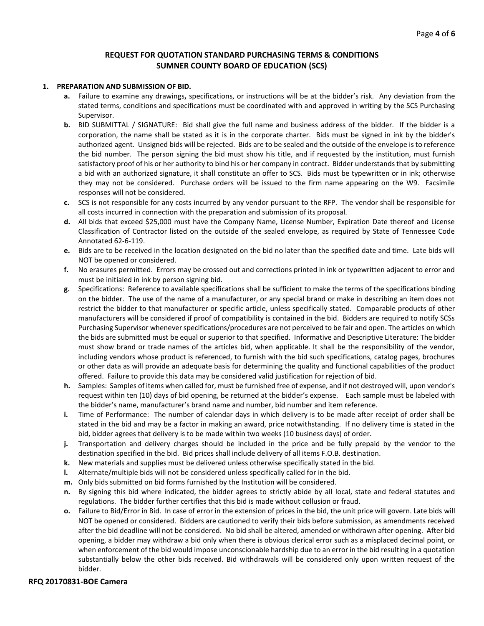### **REQUEST FOR QUOTATION STANDARD PURCHASING TERMS & CONDITIONS SUMNER COUNTY BOARD OF EDUCATION (SCS)**

#### **1. PREPARATION AND SUBMISSION OF BID.**

- **a.** Failure to examine any drawings**,** specifications, or instructions will be at the bidder's risk. Any deviation from the stated terms, conditions and specifications must be coordinated with and approved in writing by the SCS Purchasing Supervisor.
- **b.** BID SUBMITTAL / SIGNATURE: Bid shall give the full name and business address of the bidder. If the bidder is a corporation, the name shall be stated as it is in the corporate charter. Bids must be signed in ink by the bidder's authorized agent. Unsigned bids will be rejected. Bids are to be sealed and the outside of the envelope is to reference the bid number. The person signing the bid must show his title, and if requested by the institution, must furnish satisfactory proof of his or her authority to bind his or her company in contract. Bidder understands that by submitting a bid with an authorized signature, it shall constitute an offer to SCS. Bids must be typewritten or in ink; otherwise they may not be considered. Purchase orders will be issued to the firm name appearing on the W9. Facsimile responses will not be considered.
- **c.** SCS is not responsible for any costs incurred by any vendor pursuant to the RFP. The vendor shall be responsible for all costs incurred in connection with the preparation and submission of its proposal.
- **d.** All bids that exceed \$25,000 must have the Company Name, License Number, Expiration Date thereof and License Classification of Contractor listed on the outside of the sealed envelope, as required by State of Tennessee Code Annotated 62-6-119.
- **e.** Bids are to be received in the location designated on the bid no later than the specified date and time. Late bids will NOT be opened or considered.
- **f.** No erasures permitted. Errors may be crossed out and corrections printed in ink or typewritten adjacent to error and must be initialed in ink by person signing bid.
- **g.** Specifications: Reference to available specifications shall be sufficient to make the terms of the specifications binding on the bidder. The use of the name of a manufacturer, or any special brand or make in describing an item does not restrict the bidder to that manufacturer or specific article, unless specifically stated. Comparable products of other manufacturers will be considered if proof of compatibility is contained in the bid. Bidders are required to notify SCSs Purchasing Supervisor whenever specifications/procedures are not perceived to be fair and open. The articles on which the bids are submitted must be equal or superior to that specified. Informative and Descriptive Literature: The bidder must show brand or trade names of the articles bid, when applicable. It shall be the responsibility of the vendor, including vendors whose product is referenced, to furnish with the bid such specifications, catalog pages, brochures or other data as will provide an adequate basis for determining the quality and functional capabilities of the product offered. Failure to provide this data may be considered valid justification for rejection of bid.
- **h.** Samples: Samples of items when called for, must be furnished free of expense, and if not destroyed will, upon vendor's request within ten (10) days of bid opening, be returned at the bidder's expense. Each sample must be labeled with the bidder's name, manufacturer's brand name and number, bid number and item reference.
- **i.** Time of Performance: The number of calendar days in which delivery is to be made after receipt of order shall be stated in the bid and may be a factor in making an award, price notwithstanding. If no delivery time is stated in the bid, bidder agrees that delivery is to be made within two weeks (10 business days) of order.
- **j.** Transportation and delivery charges should be included in the price and be fully prepaid by the vendor to the destination specified in the bid. Bid prices shall include delivery of all items F.O.B. destination.
- **k.** New materials and supplies must be delivered unless otherwise specifically stated in the bid.
- **l.** Alternate/multiple bids will not be considered unless specifically called for in the bid.
- **m.** Only bids submitted on bid forms furnished by the Institution will be considered.
- **n.** By signing this bid where indicated, the bidder agrees to strictly abide by all local, state and federal statutes and regulations. The bidder further certifies that this bid is made without collusion or fraud.
- **o.** Failure to Bid/Error in Bid. In case of error in the extension of prices in the bid, the unit price will govern. Late bids will NOT be opened or considered. Bidders are cautioned to verify their bids before submission, as amendments received after the bid deadline will not be considered. No bid shall be altered, amended or withdrawn after opening. After bid opening, a bidder may withdraw a bid only when there is obvious clerical error such as a misplaced decimal point, or when enforcement of the bid would impose unconscionable hardship due to an error in the bid resulting in a quotation substantially below the other bids received. Bid withdrawals will be considered only upon written request of the bidder.

### **RFQ 20170831-BOE Camera**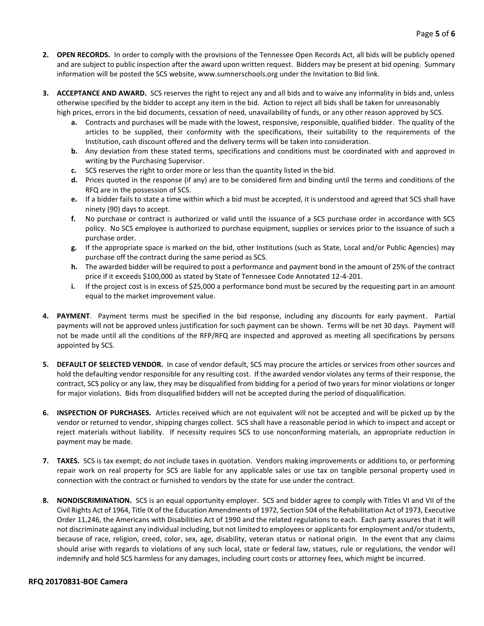- **2. OPEN RECORDS.** In order to comply with the provisions of the Tennessee Open Records Act, all bids will be publicly opened and are subject to public inspection after the award upon written request. Bidders may be present at bid opening. Summary information will be posted the SCS website, www.sumnerschools.org under the Invitation to Bid link.
- **3. ACCEPTANCE AND AWARD.** SCS reserves the right to reject any and all bids and to waive any informality in bids and, unless otherwise specified by the bidder to accept any item in the bid. Action to reject all bids shall be taken for unreasonably high prices, errors in the bid documents, cessation of need, unavailability of funds, or any other reason approved by SCS.
	- **a.** Contracts and purchases will be made with the lowest, responsive, responsible, qualified bidder. The quality of the articles to be supplied, their conformity with the specifications, their suitability to the requirements of the Institution, cash discount offered and the delivery terms will be taken into consideration.
	- **b.** Any deviation from these stated terms, specifications and conditions must be coordinated with and approved in writing by the Purchasing Supervisor.
	- **c.** SCS reserves the right to order more or less than the quantity listed in the bid.
	- **d.** Prices quoted in the response (if any) are to be considered firm and binding until the terms and conditions of the RFQ are in the possession of SCS.
	- **e.** If a bidder fails to state a time within which a bid must be accepted, it is understood and agreed that SCS shall have ninety (90) days to accept.
	- **f.** No purchase or contract is authorized or valid until the issuance of a SCS purchase order in accordance with SCS policy. No SCS employee is authorized to purchase equipment, supplies or services prior to the issuance of such a purchase order.
	- **g.** If the appropriate space is marked on the bid, other Institutions (such as State, Local and/or Public Agencies) may purchase off the contract during the same period as SCS.
	- **h.** The awarded bidder will be required to post a performance and payment bond in the amount of 25% of the contract price if it exceeds \$100,000 as stated by State of Tennessee Code Annotated 12-4-201.
	- **i.** If the project cost is in excess of \$25,000 a performance bond must be secured by the requesting part in an amount equal to the market improvement value.
- **4. PAYMENT**. Payment terms must be specified in the bid response, including any discounts for early payment. Partial payments will not be approved unless justification for such payment can be shown. Terms will be net 30 days. Payment will not be made until all the conditions of the RFP/RFQ are inspected and approved as meeting all specifications by persons appointed by SCS.
- **5. DEFAULT OF SELECTED VENDOR.** In case of vendor default, SCS may procure the articles or services from other sources and hold the defaulting vendor responsible for any resulting cost. If the awarded vendor violates any terms of their response, the contract, SCS policy or any law, they may be disqualified from bidding for a period of two years for minor violations or longer for major violations. Bids from disqualified bidders will not be accepted during the period of disqualification.
- **6. INSPECTION OF PURCHASES.** Articles received which are not equivalent will not be accepted and will be picked up by the vendor or returned to vendor, shipping charges collect. SCS shall have a reasonable period in which to inspect and accept or reject materials without liability. If necessity requires SCS to use nonconforming materials, an appropriate reduction in payment may be made.
- **7. TAXES.** SCS is tax exempt; do not include taxes in quotation. Vendors making improvements or additions to, or performing repair work on real property for SCS are liable for any applicable sales or use tax on tangible personal property used in connection with the contract or furnished to vendors by the state for use under the contract.
- **8. NONDISCRIMINATION.** SCS is an equal opportunity employer. SCS and bidder agree to comply with Titles VI and VII of the Civil Rights Act of 1964, Title IX of the Education Amendments of 1972, Section 504 of the Rehabilitation Act of 1973, Executive Order 11,246, the Americans with Disabilities Act of 1990 and the related regulations to each. Each party assures that it will not discriminate against any individual including, but not limited to employees or applicants for employment and/or students, because of race, religion, creed, color, sex, age, disability, veteran status or national origin. In the event that any claims should arise with regards to violations of any such local, state or federal law, statues, rule or regulations, the vendor will indemnify and hold SCS harmless for any damages, including court costs or attorney fees, which might be incurred.